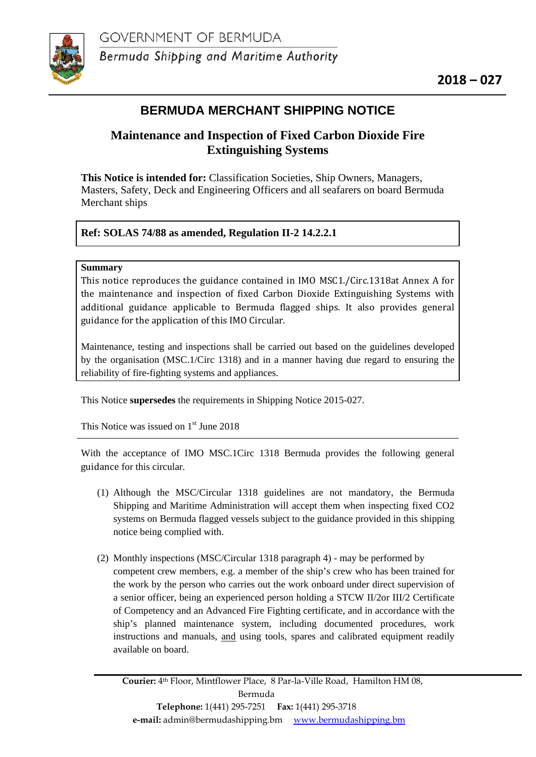

# **BERMUDA MERCHANT SHIPPING NOTICE**

# **Maintenance and Inspection of Fixed Carbon Dioxide Fire Extinguishing Systems**

**This Notice is intended for:** Classification Societies, Ship Owners, Managers, Masters, Safety, Deck and Engineering Officers and all seafarers on board Bermuda Merchant ships

## **Ref: SOLAS 74/88 as amended, Regulation II-2 14.2.2.1**

## **Summary**

This notice reproduces the guidance contained in IMO MSC1./Circ.1318at Annex A for the maintenance and inspection of fixed Carbon Dioxide Extinguishing Systems with additional guidance applicable to Bermuda flagged ships. It also provides general guidance for the application of this IMO Circular.

Maintenance, testing and inspections shall be carried out based on the guidelines developed by the organisation (MSC.1/Circ 1318) and in a manner having due regard to ensuring the reliability of fire-fighting systems and appliances.

This Notice **supersedes** the requirements in Shipping Notice 2015-027.

This Notice was issued on  $1<sup>st</sup>$  June 2018

With the acceptance of IMO MSC.1Circ 1318 Bermuda provides the following general guidance for this circular.

- (1) Although the MSC/Circular 1318 guidelines are not mandatory, the Bermuda Shipping and Maritime Administration will accept them when inspecting fixed CO2 systems on Bermuda flagged vessels subject to the guidance provided in this shipping notice being complied with.
- (2) Monthly inspections (MSC/Circular 1318 paragraph 4) may be performed by competent crew members, e.g. a member of the ship's crew who has been trained for the work by the person who carries out the work onboard under direct supervision of a senior officer, being an experienced person holding a STCW II/2 or III/2 Certificate of Competency and an Advanced Fire Fighting certificate, and in accordance with the ship's planned maintenance system, including documented procedures, work instructions and manuals, and using tools, spares and calibrated equipment readily available on board.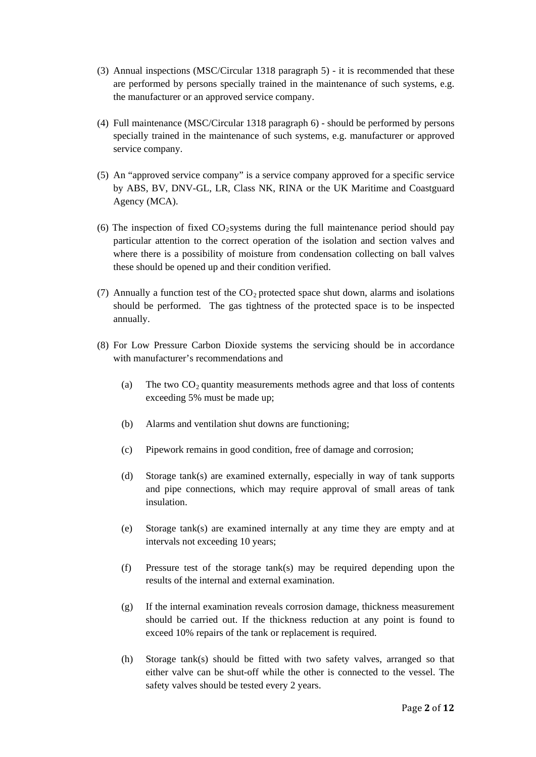- (3) Annual inspections (MSC/Circular 1318 paragraph 5) it is recommended that these are performed by persons specially trained in the maintenance of such systems, e.g. the manufacturer or an approved service company.
- (4) Full maintenance (MSC/Circular 1318 paragraph 6) should be performed by persons specially trained in the maintenance of such systems, e.g. manufacturer or approved service company.
- (5) An "approved service company" is a service company approved for a specific service by ABS, BV, DNV-GL, LR, Class NK, RINA or the UK Maritime and Coastguard Agency (MCA).
- (6) The inspection of fixed  $CO_2$ systems during the full maintenance period should pay particular attention to the correct operation of the isolation and section valves and where there is a possibility of moisture from condensation collecting on ball valves these should be opened up and their condition verified.
- (7) Annually a function test of the  $CO<sub>2</sub>$  protected space shut down, alarms and isolations should be performed. The gas tightness of the protected space is to be inspected annually.
- (8) For Low Pressure Carbon Dioxide systems the servicing should be in accordance with manufacturer's recommendations and
	- (a) The two  $CO<sub>2</sub>$  quantity measurements methods agree and that loss of contents exceeding 5% must be made up;
	- (b) Alarms and ventilation shut downs are functioning;
	- (c) Pipework remains in good condition, free of damage and corrosion;
	- (d) Storage tank(s) are examined externally, especially in way of tank supports and pipe connections, which may require approval of small areas of tank insulation.
	- (e) Storage tank(s) are examined internally at any time they are empty and at intervals not exceeding 10 years;
	- (f) Pressure test of the storage tank(s) may be required depending upon the results of the internal and external examination.
	- (g) If the internal examination reveals corrosion damage, thickness measurement should be carried out. If the thickness reduction at any point is found to exceed 10% repairs of the tank or replacement is required.
	- (h) Storage tank(s) should be fitted with two safety valves, arranged so that either valve can be shut-off while the other is connected to the vessel. The safety valves should be tested every 2 years.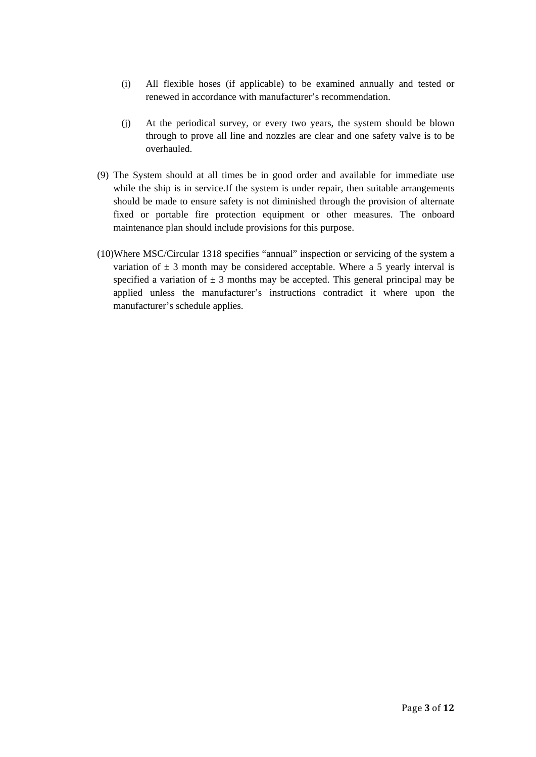- (i) All flexible hoses (if applicable) to be examined annually and tested or renewed in accordance with manufacturer's recommendation.
- (j) At the periodical survey, or every two years, the system should be blown through to prove all line and nozzles are clear and one safety valve is to be overhauled.
- (9) The System should at all times be in good order and available for immediate use while the ship is in service.If the system is under repair, then suitable arrangements should be made to ensure safety is not diminished through the provision of alternate fixed or portable fire protection equipment or other measures. The onboard maintenance plan should include provisions for this purpose.
- (10)Where MSC/Circular 1318 specifies "annual" inspection or servicing of the system a variation of  $\pm$  3 month may be considered acceptable. Where a 5 yearly interval is specified a variation of  $\pm$  3 months may be accepted. This general principal may be applied unless the manufacturer's instructions contradict it where upon the manufacturer's schedule applies.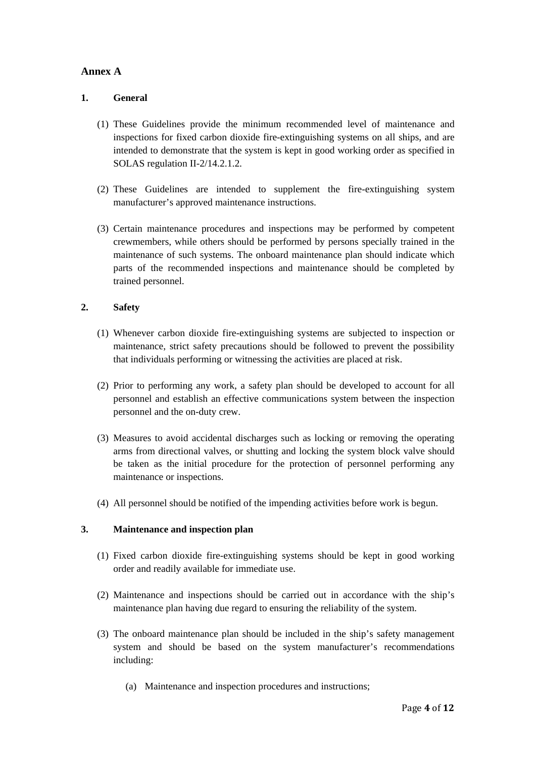## **Annex A**

### **1. General**

- (1) These Guidelines provide the minimum recommended level of maintenance and inspections for fixed carbon dioxide fire-extinguishing systems on all ships, and are intended to demonstrate that the system is kept in good working order as specified in SOLAS regulation II-2/14.2.1.2.
- (2) These Guidelines are intended to supplement the fire-extinguishing system manufacturer's approved maintenance instructions.
- (3) Certain maintenance procedures and inspections may be performed by competent crewmembers, while others should be performed by persons specially trained in the maintenance of such systems. The onboard maintenance plan should indicate which parts of the recommended inspections and maintenance should be completed by trained personnel.

#### **2. Safety**

- (1) Whenever carbon dioxide fire-extinguishing systems are subjected to inspection or maintenance, strict safety precautions should be followed to prevent the possibility that individuals performing or witnessing the activities are placed at risk.
- (2) Prior to performing any work, a safety plan should be developed to account for all personnel and establish an effective communications system between the inspection personnel and the on-duty crew.
- (3) Measures to avoid accidental discharges such as locking or removing the operating arms from directional valves, or shutting and locking the system block valve should be taken as the initial procedure for the protection of personnel performing any maintenance or inspections.
- (4) All personnel should be notified of the impending activities before work is begun.

#### **3. Maintenance and inspection plan**

- (1) Fixed carbon dioxide fire-extinguishing systems should be kept in good working order and readily available for immediate use.
- (2) Maintenance and inspections should be carried out in accordance with the ship's maintenance plan having due regard to ensuring the reliability of the system.
- (3) The onboard maintenance plan should be included in the ship's safety management system and should be based on the system manufacturer's recommendations including:
	- (a) Maintenance and inspection procedures and instructions;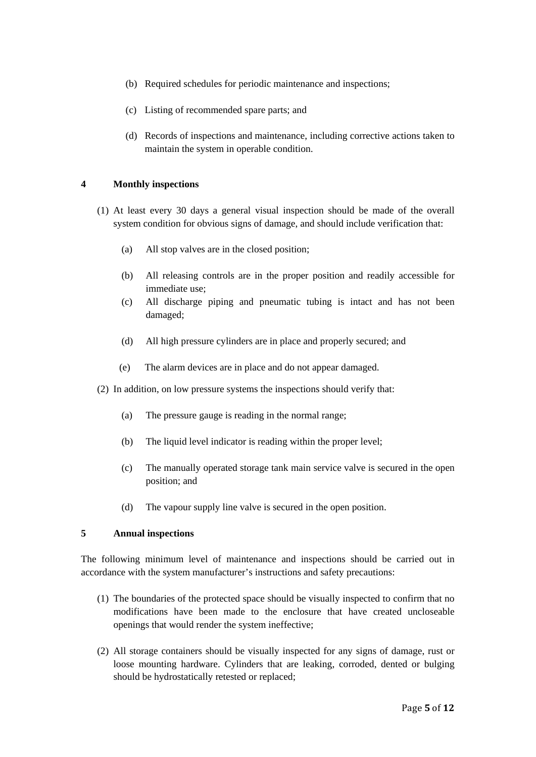- (b) Required schedules for periodic maintenance and inspections;
- (c) Listing of recommended spare parts; and
- (d) Records of inspections and maintenance, including corrective actions taken to maintain the system in operable condition.

#### **4 Monthly inspections**

- (1) At least every 30 days a general visual inspection should be made of the overall system condition for obvious signs of damage, and should include verification that:
	- (a) All stop valves are in the closed position;
	- (b) All releasing controls are in the proper position and readily accessible for immediate use;
	- (c) All discharge piping and pneumatic tubing is intact and has not been damaged;
	- (d) All high pressure cylinders are in place and properly secured; and
	- (e) The alarm devices are in place and do not appear damaged.
- (2) In addition, on low pressure systems the inspections should verify that:
	- (a) The pressure gauge is reading in the normal range;
	- (b) The liquid level indicator is reading within the proper level;
	- (c) The manually operated storage tank main service valve is secured in the open position; and
	- (d) The vapour supply line valve is secured in the open position.

#### **5 Annual inspections**

The following minimum level of maintenance and inspections should be carried out in accordance with the system manufacturer's instructions and safety precautions:

- (1) The boundaries of the protected space should be visually inspected to confirm that no modifications have been made to the enclosure that have created uncloseable openings that would render the system ineffective;
- (2) All storage containers should be visually inspected for any signs of damage, rust or loose mounting hardware. Cylinders that are leaking, corroded, dented or bulging should be hydrostatically retested or replaced;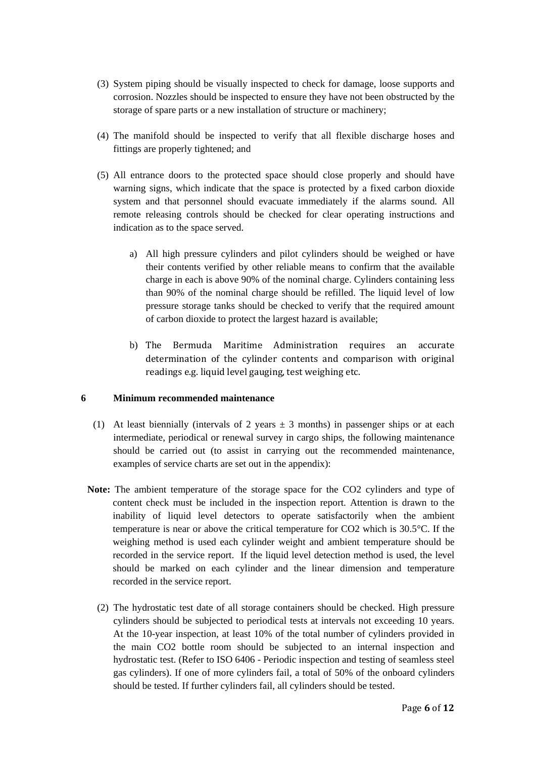- (3) System piping should be visually inspected to check for damage, loose supports and corrosion. Nozzles should be inspected to ensure they have not been obstructed by the storage of spare parts or a new installation of structure or machinery;
- (4) The manifold should be inspected to verify that all flexible discharge hoses and fittings are properly tightened; and
- (5) All entrance doors to the protected space should close properly and should have warning signs, which indicate that the space is protected by a fixed carbon dioxide system and that personnel should evacuate immediately if the alarms sound. All remote releasing controls should be checked for clear operating instructions and indication as to the space served.
	- a) All high pressure cylinders and pilot cylinders should be weighed or have their contents verified by other reliable means to confirm that the available charge in each is above 90% of the nominal charge. Cylinders containing less than 90% of the nominal charge should be refilled. The liquid level of low pressure storage tanks should be checked to verify that the required amount of carbon dioxide to protect the largest hazard is available;
	- b) The Bermuda Maritime Administration requires an accurate determination of the cylinder contents and comparison with original readings e.g. liquid level gauging, test weighing etc.

#### **6 Minimum recommended maintenance**

- (1) At least biennially (intervals of 2 years  $\pm$  3 months) in passenger ships or at each intermediate, periodical or renewal survey in cargo ships, the following maintenance should be carried out (to assist in carrying out the recommended maintenance, examples of service charts are set out in the appendix):
- **Note:** The ambient temperature of the storage space for the CO2 cylinders and type of content check must be included in the inspection report. Attention is drawn to the inability of liquid level detectors to operate satisfactorily when the ambient temperature is near or above the critical temperature for CO2 which is 30.5°C. If the weighing method is used each cylinder weight and ambient temperature should be recorded in the service report. If the liquid level detection method is used, the level should be marked on each cylinder and the linear dimension and temperature recorded in the service report.
	- (2) The hydrostatic test date of all storage containers should be checked. High pressure cylinders should be subjected to periodical tests at intervals not exceeding 10 years. At the 10-year inspection, at least 10% of the total number of cylinders provided in the main CO2 bottle room should be subjected to an internal inspection and hydrostatic test. (Refer to ISO 6406 - Periodic inspection and testing of seamless steel gas cylinders). If one of more cylinders fail, a total of 50% of the onboard cylinders should be tested. If further cylinders fail, all cylinders should be tested.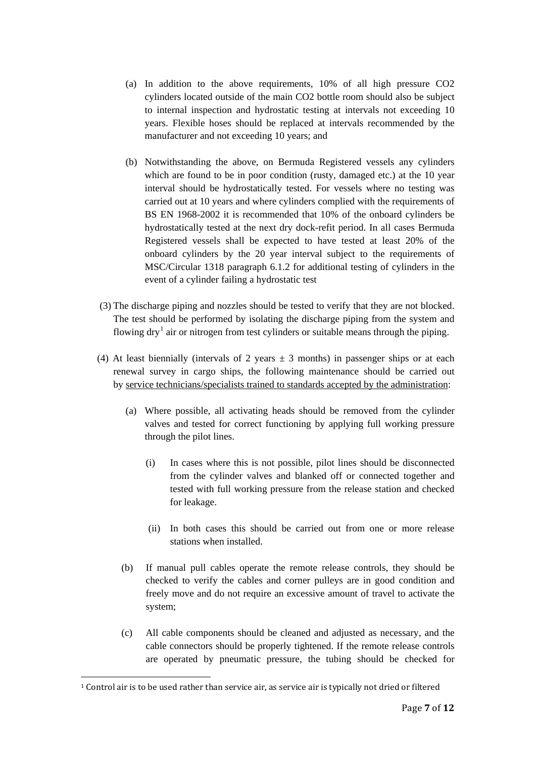- (a) In addition to the above requirements, 10% of all high pressure CO2 cylinders located outside of the main CO2 bottle room should also be subject to internal inspection and hydrostatic testing at intervals not exceeding 10 years. Flexible hoses should be replaced at intervals recommended by the manufacturer and not exceeding 10 years; and
- (b) Notwithstanding the above, on Bermuda Registered vessels any cylinders which are found to be in poor condition (rusty, damaged etc.) at the 10 year interval should be hydrostatically tested. For vessels where no testing was carried out at 10 years and where cylinders complied with the requirements of BS EN 1968-2002 it is recommended that 10% of the onboard cylinders be hydrostatically tested at the next dry dock-refit period. In all cases Bermuda Registered vessels shall be expected to have tested at least 20% of the onboard cylinders by the 20 year interval subject to the requirements of MSC/Circular 1318 paragraph 6.1.2 for additional testing of cylinders in the event of a cylinder failing a hydrostatic test
- (3) The discharge piping and nozzles should be tested to verify that they are not blocked. The test should be performed by isolating the discharge piping from the system and flowing  $\frac{dy}{dx}$  air or nitrogen from test cylinders or suitable means through the piping.
- (4) At least biennially (intervals of 2 years  $\pm$  3 months) in passenger ships or at each renewal survey in cargo ships, the following maintenance should be carried out by service technicians/specialists trained to standards accepted by the administration:
	- (a) Where possible, all activating heads should be removed from the cylinder valves and tested for correct functioning by applying full working pressure through the pilot lines.
		- (i) In cases where this is not possible, pilot lines should be disconnected from the cylinder valves and blanked off or connected together and tested with full working pressure from the release station and checked for leakage.
		- (ii) In both cases this should be carried out from one or more release stations when installed.
	- (b) If manual pull cables operate the remote release controls, they should be checked to verify the cables and corner pulleys are in good condition and freely move and do not require an excessive amount of travel to activate the system;
	- (c) All cable components should be cleaned and adjusted as necessary, and the cable connectors should be properly tightened. If the remote release controls are operated by pneumatic pressure, the tubing should be checked for

<span id="page-6-0"></span> $1$  Control air is to be used rather than service air, as service air is typically not dried or filtered j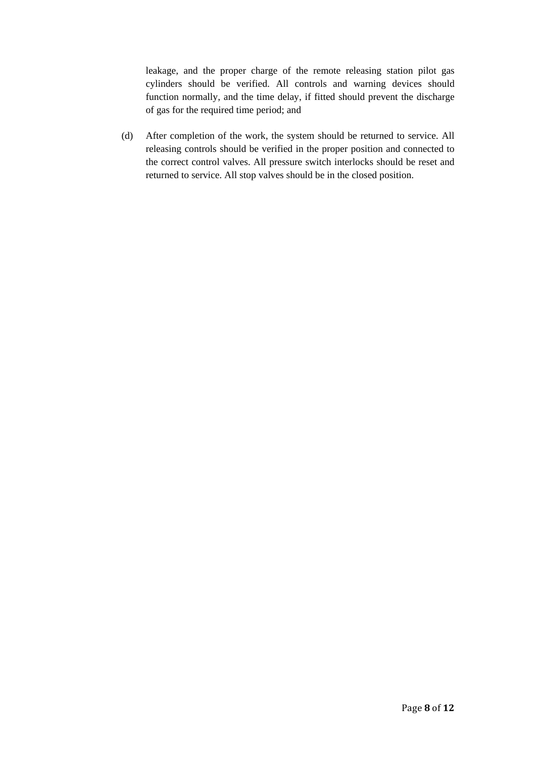leakage, and the proper charge of the remote releasing station pilot gas cylinders should be verified. All controls and warning devices should function normally, and the time delay, if fitted should prevent the discharge of gas for the required time period; and

(d) After completion of the work, the system should be returned to service. All releasing controls should be verified in the proper position and connected to the correct control valves. All pressure switch interlocks should be reset and returned to service. All stop valves should be in the closed position.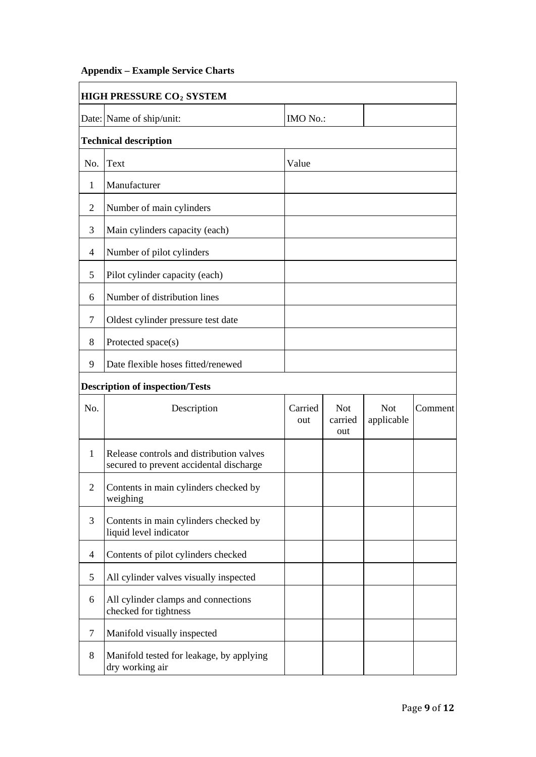## **Appendix – Example Service Charts**

| <b>HIGH PRESSURE CO<sub>2</sub> SYSTEM</b> |                                                                                     |                |                              |                          |         |  |
|--------------------------------------------|-------------------------------------------------------------------------------------|----------------|------------------------------|--------------------------|---------|--|
|                                            | Date: Name of ship/unit:                                                            | IMO No.:       |                              |                          |         |  |
|                                            | <b>Technical description</b>                                                        |                |                              |                          |         |  |
| No.                                        | <b>Text</b>                                                                         | Value          |                              |                          |         |  |
| 1                                          | Manufacturer                                                                        |                |                              |                          |         |  |
| $\overline{2}$                             | Number of main cylinders                                                            |                |                              |                          |         |  |
| 3                                          | Main cylinders capacity (each)                                                      |                |                              |                          |         |  |
| 4                                          | Number of pilot cylinders                                                           |                |                              |                          |         |  |
| 5                                          | Pilot cylinder capacity (each)                                                      |                |                              |                          |         |  |
| 6                                          | Number of distribution lines                                                        |                |                              |                          |         |  |
| $\overline{7}$                             | Oldest cylinder pressure test date                                                  |                |                              |                          |         |  |
| 8                                          | Protected space(s)                                                                  |                |                              |                          |         |  |
| 9                                          | Date flexible hoses fitted/renewed                                                  |                |                              |                          |         |  |
|                                            | <b>Description of inspection/Tests</b>                                              |                |                              |                          |         |  |
| No.                                        | Description                                                                         | Carried<br>out | <b>Not</b><br>carried<br>out | <b>Not</b><br>applicable | Comment |  |
| $\mathbf{1}$                               | Release controls and distribution valves<br>secured to prevent accidental discharge |                |                              |                          |         |  |
| $\overline{2}$                             | Contents in main cylinders checked by<br>weighing                                   |                |                              |                          |         |  |
| 3                                          | Contents in main cylinders checked by<br>liquid level indicator                     |                |                              |                          |         |  |
| 4                                          | Contents of pilot cylinders checked                                                 |                |                              |                          |         |  |
| 5                                          | All cylinder valves visually inspected                                              |                |                              |                          |         |  |
| 6                                          | All cylinder clamps and connections<br>checked for tightness                        |                |                              |                          |         |  |
| $\overline{7}$                             | Manifold visually inspected                                                         |                |                              |                          |         |  |
| 8                                          | Manifold tested for leakage, by applying<br>dry working air                         |                |                              |                          |         |  |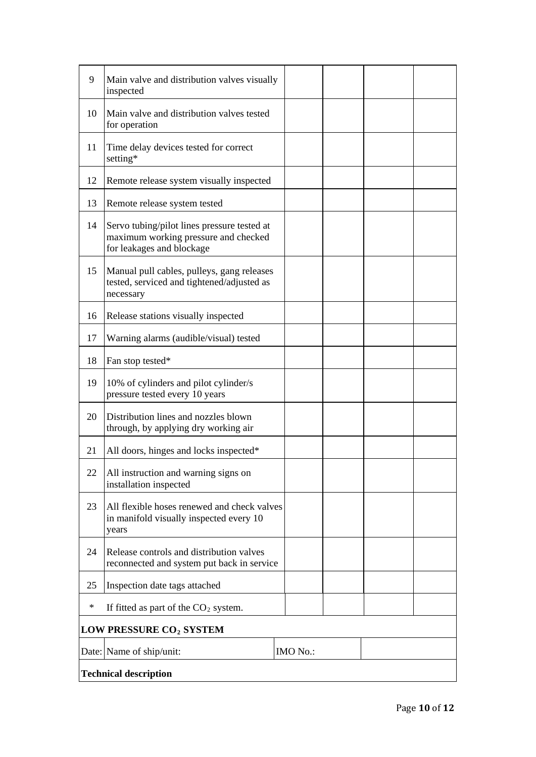| 9                                   | Main valve and distribution valves visually<br>inspected                                                         |          |  |  |  |
|-------------------------------------|------------------------------------------------------------------------------------------------------------------|----------|--|--|--|
| 10                                  | Main valve and distribution valves tested<br>for operation                                                       |          |  |  |  |
| 11                                  | Time delay devices tested for correct<br>setting*                                                                |          |  |  |  |
| 12                                  | Remote release system visually inspected                                                                         |          |  |  |  |
| 13                                  | Remote release system tested                                                                                     |          |  |  |  |
| 14                                  | Servo tubing/pilot lines pressure tested at<br>maximum working pressure and checked<br>for leakages and blockage |          |  |  |  |
| 15                                  | Manual pull cables, pulleys, gang releases<br>tested, serviced and tightened/adjusted as<br>necessary            |          |  |  |  |
| 16                                  | Release stations visually inspected                                                                              |          |  |  |  |
| 17                                  | Warning alarms (audible/visual) tested                                                                           |          |  |  |  |
| 18                                  | Fan stop tested*                                                                                                 |          |  |  |  |
| 19                                  | 10% of cylinders and pilot cylinder/s<br>pressure tested every 10 years                                          |          |  |  |  |
| 20                                  | Distribution lines and nozzles blown<br>through, by applying dry working air                                     |          |  |  |  |
| 21                                  | All doors, hinges and locks inspected*                                                                           |          |  |  |  |
| 22                                  | All instruction and warning signs on<br>installation inspected                                                   |          |  |  |  |
| 23                                  | All flexible hoses renewed and check valves<br>in manifold visually inspected every 10<br>years                  |          |  |  |  |
| 24                                  | Release controls and distribution valves<br>reconnected and system put back in service                           |          |  |  |  |
| 25                                  | Inspection date tags attached                                                                                    |          |  |  |  |
| $\ast$                              | If fitted as part of the $CO2$ system.                                                                           |          |  |  |  |
| LOW PRESSURE CO <sub>2</sub> SYSTEM |                                                                                                                  |          |  |  |  |
|                                     | Date: Name of ship/unit:                                                                                         | IMO No.: |  |  |  |
| <b>Technical description</b>        |                                                                                                                  |          |  |  |  |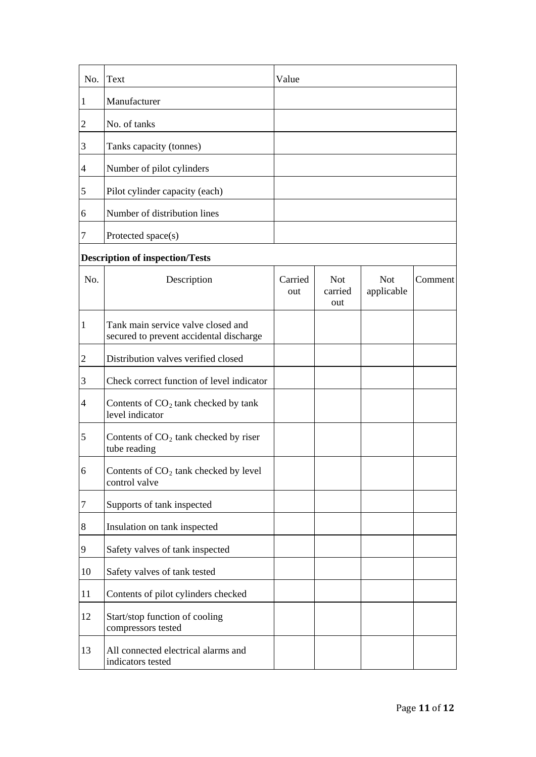| No.            | Text                                                                          | Value          |                              |                          |         |
|----------------|-------------------------------------------------------------------------------|----------------|------------------------------|--------------------------|---------|
| $\mathbf{1}$   | Manufacturer                                                                  |                |                              |                          |         |
| $\overline{2}$ | No. of tanks                                                                  |                |                              |                          |         |
| 3              | Tanks capacity (tonnes)                                                       |                |                              |                          |         |
| $\overline{4}$ | Number of pilot cylinders                                                     |                |                              |                          |         |
| 5              | Pilot cylinder capacity (each)                                                |                |                              |                          |         |
| 6              | Number of distribution lines                                                  |                |                              |                          |         |
| 7              | Protected space(s)                                                            |                |                              |                          |         |
|                | <b>Description of inspection/Tests</b>                                        |                |                              |                          |         |
| No.            | Description                                                                   | Carried<br>out | <b>Not</b><br>carried<br>out | <b>Not</b><br>applicable | Comment |
| 1              | Tank main service valve closed and<br>secured to prevent accidental discharge |                |                              |                          |         |
| $\overline{2}$ | Distribution valves verified closed                                           |                |                              |                          |         |
| 3              | Check correct function of level indicator                                     |                |                              |                          |         |
| 4              | Contents of $CO2$ tank checked by tank<br>level indicator                     |                |                              |                          |         |
| 5              | Contents of $CO2$ tank checked by riser<br>tube reading                       |                |                              |                          |         |
| 6              | Contents of CO <sub>2</sub> tank checked by level<br>control valve            |                |                              |                          |         |
| 7              | Supports of tank inspected                                                    |                |                              |                          |         |
| 8              | Insulation on tank inspected                                                  |                |                              |                          |         |
| 9              | Safety valves of tank inspected                                               |                |                              |                          |         |
| 10             | Safety valves of tank tested                                                  |                |                              |                          |         |
| 11             | Contents of pilot cylinders checked                                           |                |                              |                          |         |
| 12             | Start/stop function of cooling<br>compressors tested                          |                |                              |                          |         |
| 13             | All connected electrical alarms and<br>indicators tested                      |                |                              |                          |         |